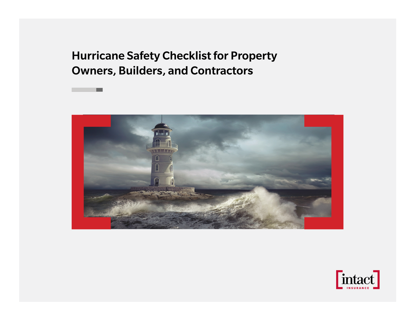Hurricane Safety Checklist for Property Owners, Builders, and Contractors